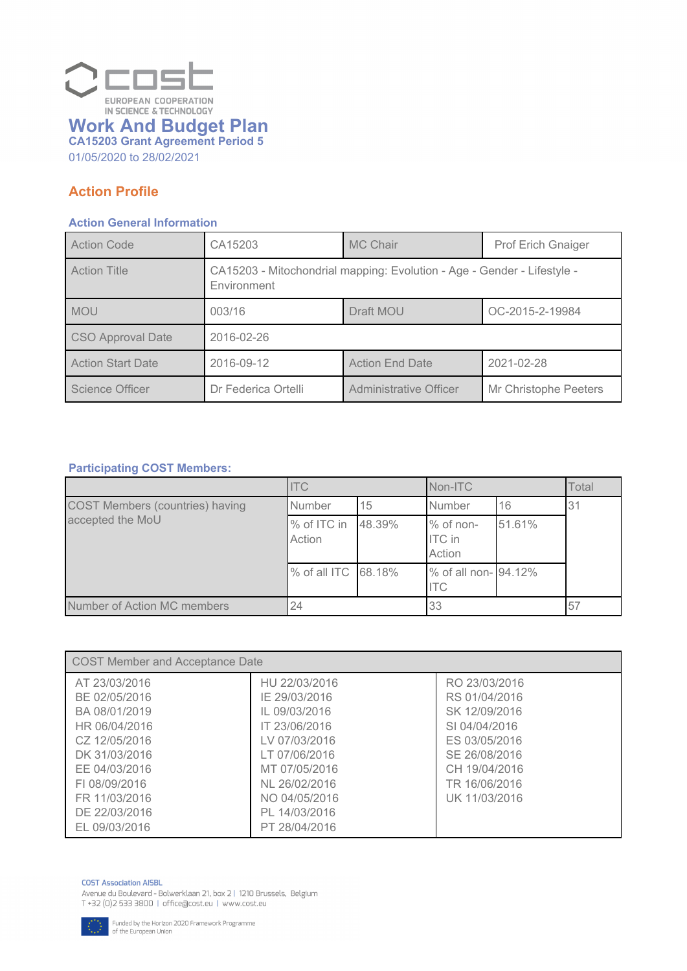

*01/05/2020 to 28/02/2021*

### *Action Profile*

#### *Action General Information*

| <b>Action Code</b>       | CA15203                                                                                | MC Chair                      | <b>Prof Erich Gnaiger</b> |
|--------------------------|----------------------------------------------------------------------------------------|-------------------------------|---------------------------|
| <b>Action Title</b>      | CA15203 - Mitochondrial mapping: Evolution - Age - Gender - Lifestyle -<br>Environment |                               |                           |
| MOU                      | 003/16                                                                                 | Draft MOU                     | OC-2015-2-19984           |
| CSO Approval Date        | 2016-02-26                                                                             |                               |                           |
| <b>Action Start Date</b> | 2016-09-12                                                                             | <b>Action End Date</b>        | 2021-02-28                |
| Science Officer          | Dr Federica Ortelli                                                                    | <b>Administrative Officer</b> | Mr Christophe Peeters     |

### *Participating COST Members:*

|                                        | <b>ITC</b>            |        | Non-ITC                              |        | Total |
|----------------------------------------|-----------------------|--------|--------------------------------------|--------|-------|
| <b>COST Members (countries) having</b> | Number                | 15     | Number                               | 16     | 31    |
| accepted the MoU                       | % of ITC in<br>Action | 48.39% | % of non-<br><b>ITC</b> in<br>Action | 51.61% |       |
|                                        | % of all ITC 68.18%   |        | % of all non- 94.12%<br><b>ITC</b>   |        |       |
| Number of Action MC members            | 24                    |        | 33                                   |        | 57    |

| COST Member and Acceptance Date                                                                                                                                       |                                                                                                                                                                        |                                                                                                                                                       |  |
|-----------------------------------------------------------------------------------------------------------------------------------------------------------------------|------------------------------------------------------------------------------------------------------------------------------------------------------------------------|-------------------------------------------------------------------------------------------------------------------------------------------------------|--|
| AT 23/03/2016<br>BE 02/05/2016<br>BA 08/01/2019<br>HR 06/04/2016<br>CZ 12/05/2016<br>DK 31/03/2016<br>EE 04/03/2016<br>FL08/09/2016<br>FR 11/03/2016<br>DE 22/03/2016 | HU 22/03/2016<br>IE 29/03/2016<br>IL 09/03/2016<br>IT 23/06/2016<br>LV 07/03/2016<br>LT 07/06/2016<br>MT 07/05/2016<br>NL 26/02/2016<br>NO 04/05/2016<br>PL 14/03/2016 | RO 23/03/2016<br>RS 01/04/2016<br>SK 12/09/2016<br>SI 04/04/2016<br>ES 03/05/2016<br>SE 26/08/2016<br>CH 19/04/2016<br>TR 16/06/2016<br>UK 11/03/2016 |  |
| EL 09/03/2016                                                                                                                                                         | PT 28/04/2016                                                                                                                                                          |                                                                                                                                                       |  |

#### **COST Association AISBL**

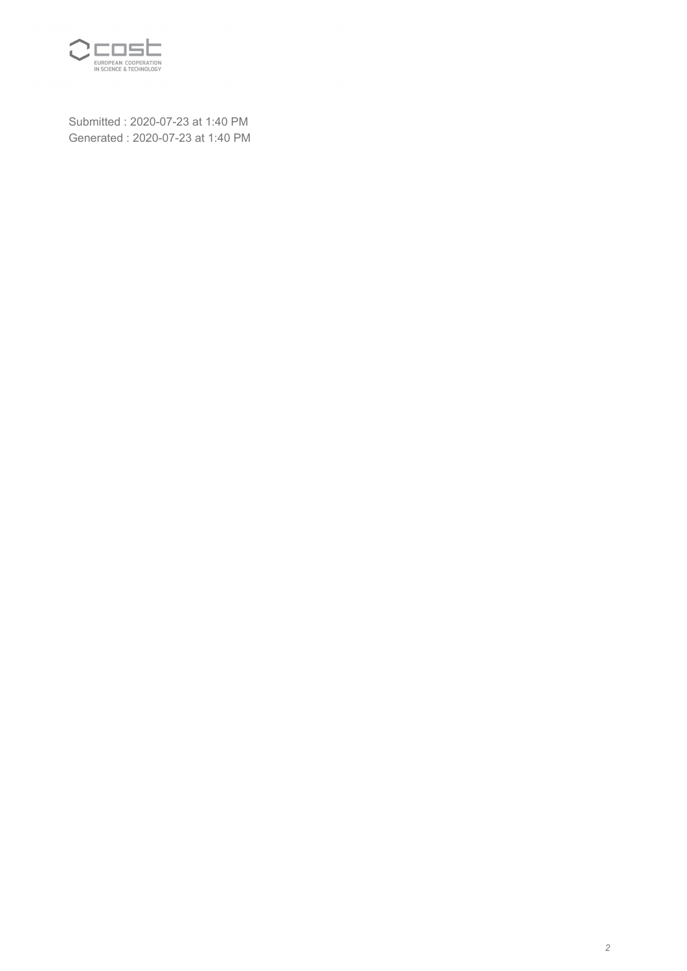

*Submitted : 2020-07-23 at 1:40 PM Generated : 2020-07-23 at 1:40 PM*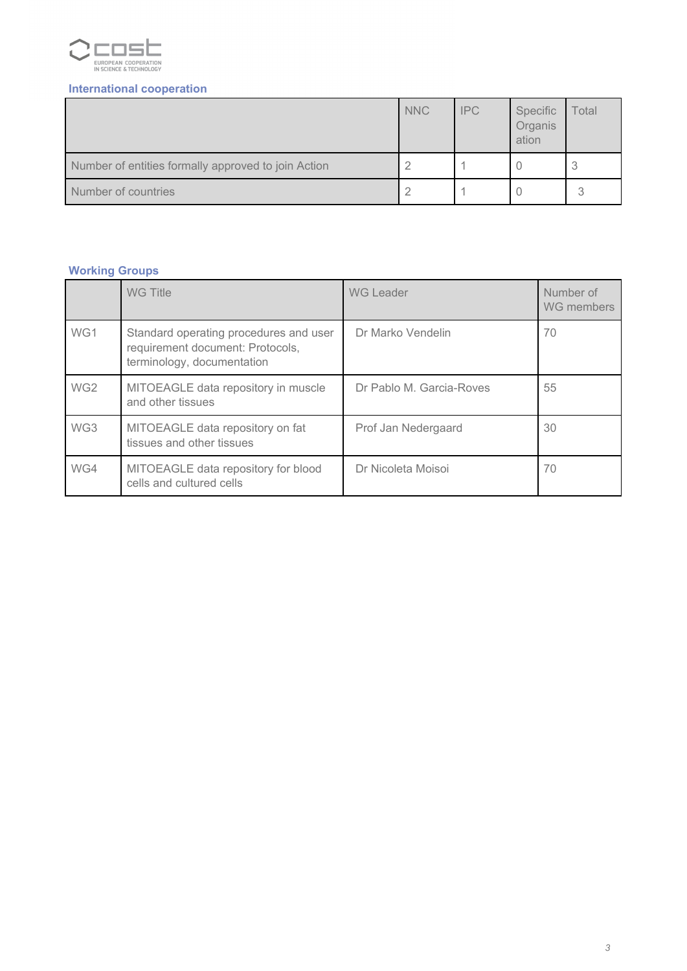

### *International cooperation*

|                                                     | <b>NNC</b> | <b>IPC</b> | Specific<br>Organis<br>ation | Total |
|-----------------------------------------------------|------------|------------|------------------------------|-------|
| Number of entities formally approved to join Action |            |            |                              | 3     |
| Number of countries                                 |            |            |                              |       |

### *Working Groups*

|                 | <b>WG Title</b>                                                                                          | <b>WG Leader</b>         | Number of<br>WG members |
|-----------------|----------------------------------------------------------------------------------------------------------|--------------------------|-------------------------|
| WG1             | Standard operating procedures and user<br>requirement document: Protocols,<br>terminology, documentation | Dr Marko Vendelin        | 70                      |
| WG <sub>2</sub> | MITOEAGLE data repository in muscle<br>and other tissues                                                 | Dr Pablo M. Garcia-Roves | 55                      |
| WG3             | MITOEAGLE data repository on fat<br>tissues and other tissues                                            | Prof Jan Nedergaard      | 30                      |
| WG4             | MITOEAGLE data repository for blood<br>cells and cultured cells                                          | Dr Nicoleta Moisoi       | 70                      |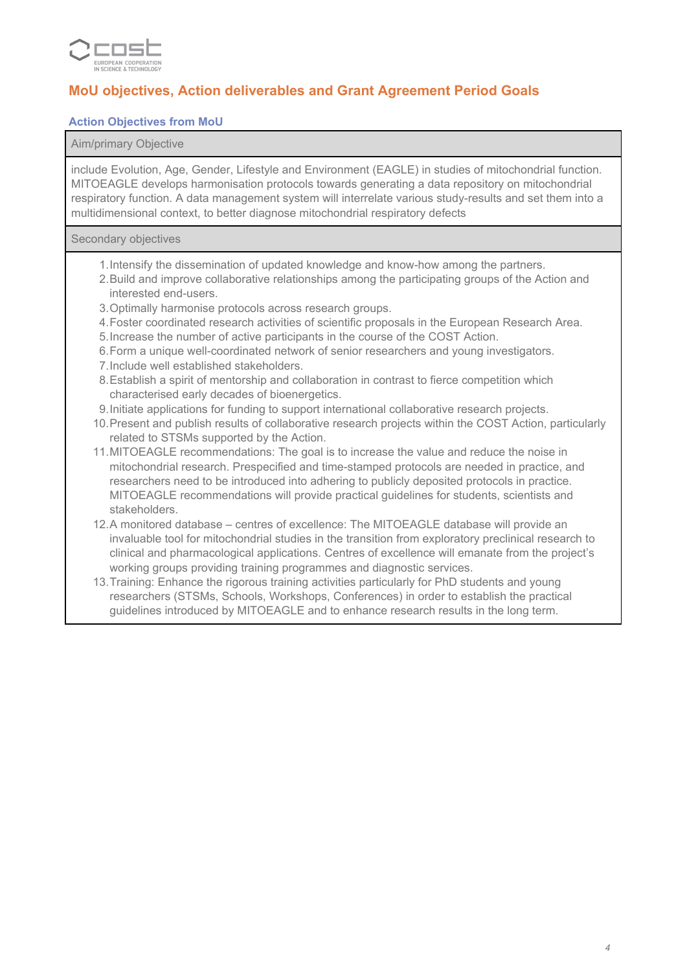

### *MoU objectives, Action deliverables and Grant Agreement Period Goals*

### *Action Objectives from MoU*

#### *Aim/primary Objective*

*include Evolution, Age, Gender, Lifestyle and Environment (EAGLE) in studies of mitochondrial function. MITOEAGLE develops harmonisation protocols towards generating a data repository on mitochondrial respiratory function. A data management system will interrelate various study-results and set them into a multidimensional context, to better diagnose mitochondrial respiratory defects*

#### *Secondary objectives*

- *1.Intensify the dissemination of updated knowledge and know-how among the partners.*
- *2.Build and improve collaborative relationships among the participating groups of the Action and interested end-users.*
- *3.Optimally harmonise protocols across research groups.*
- *4.Foster coordinated research activities of scientific proposals in the European Research Area.*
- *5.Increase the number of active participants in the course of the COST Action.*
- *6.Form a unique well-coordinated network of senior researchers and young investigators.*
- *7.Include well established stakeholders.*
- *8.Establish a spirit of mentorship and collaboration in contrast to fierce competition which characterised early decades of bioenergetics.*
- *9.Initiate applications for funding to support international collaborative research projects.*
- *10.Present and publish results of collaborative research projects within the COST Action, particularly related to STSMs supported by the Action.*
- *11.MITOEAGLE recommendations: The goal is to increase the value and reduce the noise in mitochondrial research. Prespecified and time-stamped protocols are needed in practice, and researchers need to be introduced into adhering to publicly deposited protocols in practice. MITOEAGLE recommendations will provide practical guidelines for students, scientists and stakeholders.*
- *12.A monitored database centres of excellence: The MITOEAGLE database will provide an invaluable tool for mitochondrial studies in the transition from exploratory preclinical research to clinical and pharmacological applications. Centres of excellence will emanate from the project's working groups providing training programmes and diagnostic services.*
- *13.Training: Enhance the rigorous training activities particularly for PhD students and young researchers (STSMs, Schools, Workshops, Conferences) in order to establish the practical guidelines introduced by MITOEAGLE and to enhance research results in the long term.*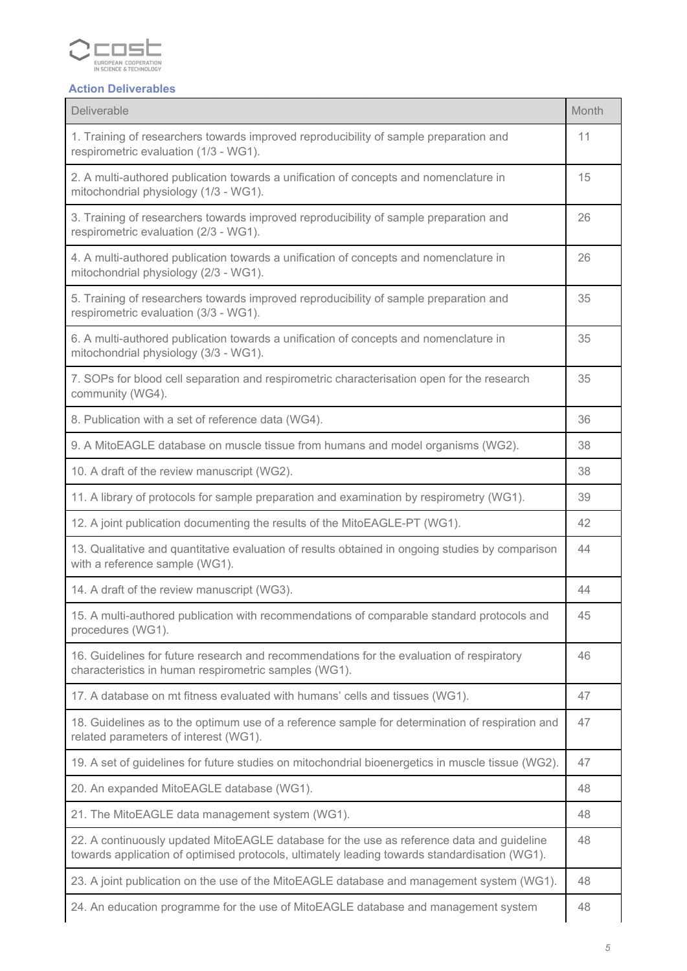

# *Action Deliverables*

| Deliverable                                                                                                                                                                                | Month |
|--------------------------------------------------------------------------------------------------------------------------------------------------------------------------------------------|-------|
| 1. Training of researchers towards improved reproducibility of sample preparation and<br>respirometric evaluation (1/3 - WG1).                                                             | 11    |
| 2. A multi-authored publication towards a unification of concepts and nomenclature in<br>mitochondrial physiology (1/3 - WG1).                                                             | 15    |
| 3. Training of researchers towards improved reproducibility of sample preparation and<br>respirometric evaluation (2/3 - WG1).                                                             | 26    |
| 4. A multi-authored publication towards a unification of concepts and nomenclature in<br>mitochondrial physiology (2/3 - WG1).                                                             | 26    |
| 5. Training of researchers towards improved reproducibility of sample preparation and<br>respirometric evaluation (3/3 - WG1).                                                             | 35    |
| 6. A multi-authored publication towards a unification of concepts and nomenclature in<br>mitochondrial physiology (3/3 - WG1).                                                             | 35    |
| 7. SOPs for blood cell separation and respirometric characterisation open for the research<br>community (WG4).                                                                             | 35    |
| 8. Publication with a set of reference data (WG4).                                                                                                                                         | 36    |
| 9. A MitoEAGLE database on muscle tissue from humans and model organisms (WG2).                                                                                                            | 38    |
| 10. A draft of the review manuscript (WG2).                                                                                                                                                | 38    |
| 11. A library of protocols for sample preparation and examination by respirometry (WG1).                                                                                                   | 39    |
| 12. A joint publication documenting the results of the MitoEAGLE-PT (WG1).                                                                                                                 | 42    |
| 13. Qualitative and quantitative evaluation of results obtained in ongoing studies by comparison<br>with a reference sample (WG1).                                                         | 44    |
| 14. A draft of the review manuscript (WG3).                                                                                                                                                | 44    |
| 15. A multi-authored publication with recommendations of comparable standard protocols and<br>procedures (WG1).                                                                            | 45    |
| 16. Guidelines for future research and recommendations for the evaluation of respiratory<br>characteristics in human respirometric samples (WG1).                                          | 46    |
| 17. A database on mt fitness evaluated with humans' cells and tissues (WG1).                                                                                                               | 47    |
| 18. Guidelines as to the optimum use of a reference sample for determination of respiration and<br>related parameters of interest (WG1).                                                   | 47    |
| 19. A set of guidelines for future studies on mitochondrial bioenergetics in muscle tissue (WG2).                                                                                          | 47    |
| 20. An expanded MitoEAGLE database (WG1).                                                                                                                                                  | 48    |
| 21. The MitoEAGLE data management system (WG1).                                                                                                                                            | 48    |
| 22. A continuously updated MitoEAGLE database for the use as reference data and guideline<br>towards application of optimised protocols, ultimately leading towards standardisation (WG1). | 48    |
| 23. A joint publication on the use of the MitoEAGLE database and management system (WG1).                                                                                                  | 48    |
| 24. An education programme for the use of MitoEAGLE database and management system                                                                                                         | 48    |

÷

Ŧ.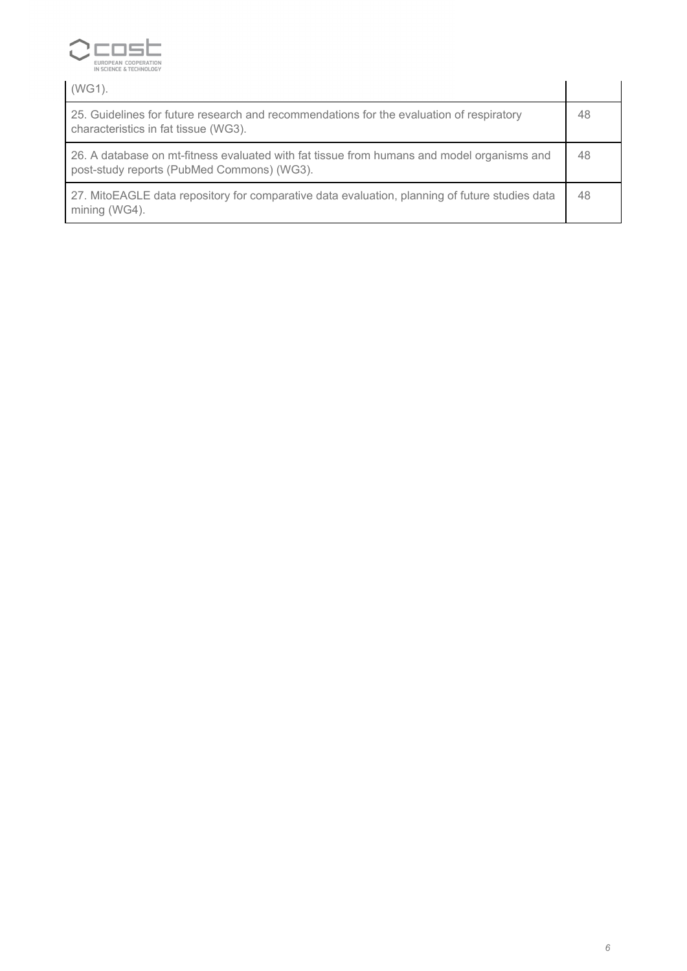

| $(WG1)$ .                                                                                                                                |    |
|------------------------------------------------------------------------------------------------------------------------------------------|----|
| 25. Guidelines for future research and recommendations for the evaluation of respiratory<br>characteristics in fat tissue (WG3).         | 48 |
| 26. A database on mt-fitness evaluated with fat tissue from humans and model organisms and<br>post-study reports (PubMed Commons) (WG3). | 48 |
| 27. MitoEAGLE data repository for comparative data evaluation, planning of future studies data<br>mining (WG4).                          | 48 |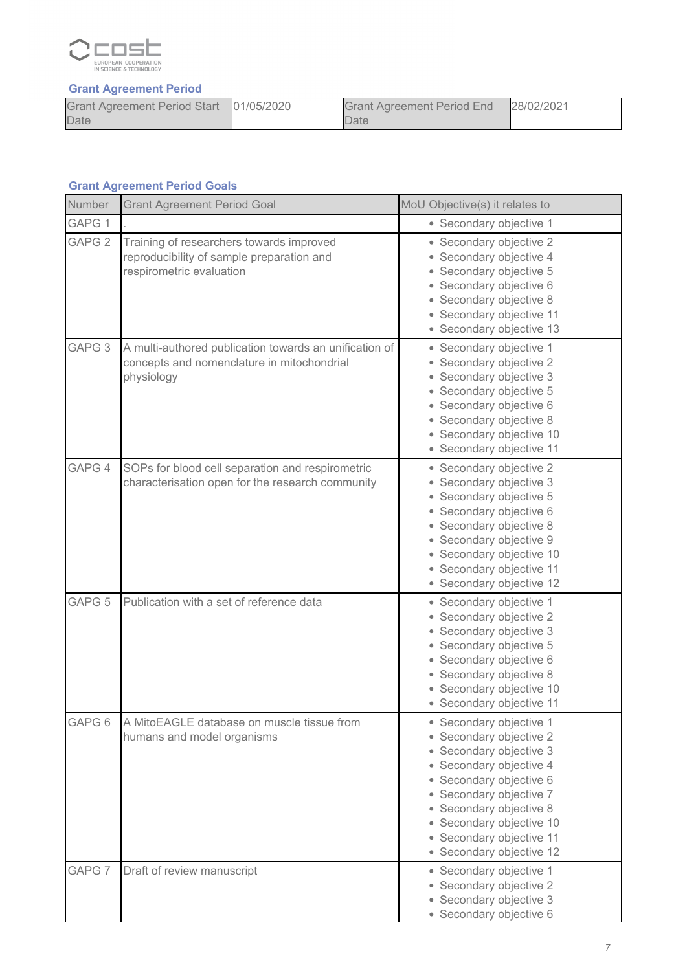

### *Grant Agreement Period*

| Grant Agreement Period Start 01/05/2020 | <b>Grant Agreement Period End</b> | 28/02/2021 |
|-----------------------------------------|-----------------------------------|------------|
| Date                                    | <b>Date</b>                       |            |

### *Grant Agreement Period Goals*

| Number            | <b>Grant Agreement Period Goal</b>                                                                                 | MoU Objective(s) it relates to                                                                                                                                                                                                                                                                          |  |
|-------------------|--------------------------------------------------------------------------------------------------------------------|---------------------------------------------------------------------------------------------------------------------------------------------------------------------------------------------------------------------------------------------------------------------------------------------------------|--|
| GAPG 1            |                                                                                                                    | • Secondary objective 1                                                                                                                                                                                                                                                                                 |  |
| GAPG <sub>2</sub> | Training of researchers towards improved<br>reproducibility of sample preparation and<br>respirometric evaluation  | • Secondary objective 2<br>• Secondary objective 4<br>• Secondary objective 5<br>• Secondary objective 6<br>• Secondary objective 8<br>• Secondary objective 11<br>• Secondary objective 13                                                                                                             |  |
| GAPG <sub>3</sub> | A multi-authored publication towards an unification of<br>concepts and nomenclature in mitochondrial<br>physiology | • Secondary objective 1<br>• Secondary objective 2<br>• Secondary objective 3<br>• Secondary objective 5<br>• Secondary objective 6<br>• Secondary objective 8<br>• Secondary objective 10<br>• Secondary objective 11                                                                                  |  |
| GAPG 4            | SOPs for blood cell separation and respirometric<br>characterisation open for the research community               | • Secondary objective 2<br>• Secondary objective 3<br>• Secondary objective 5<br>• Secondary objective 6<br>• Secondary objective 8<br>• Secondary objective 9<br>• Secondary objective 10<br>• Secondary objective 11<br>• Secondary objective 12                                                      |  |
| GAPG <sub>5</sub> | Publication with a set of reference data                                                                           | • Secondary objective 1<br>• Secondary objective 2<br>• Secondary objective 3<br>• Secondary objective 5<br>· Secondary objective 6<br>• Secondary objective 8<br>• Secondary objective 10<br>• Secondary objective 11                                                                                  |  |
| GAPG <sub>6</sub> | A MitoEAGLE database on muscle tissue from<br>humans and model organisms                                           | • Secondary objective 1<br>• Secondary objective 2<br>• Secondary objective 3<br>Secondary objective 4<br>$\bullet$<br>Secondary objective 6<br>$\bullet$<br>Secondary objective 7<br>۰<br>Secondary objective 8<br>Secondary objective 10<br>۰<br>• Secondary objective 11<br>• Secondary objective 12 |  |
| GAPG 7            | Draft of review manuscript                                                                                         | • Secondary objective 1<br>• Secondary objective 2<br>• Secondary objective 3<br>· Secondary objective 6                                                                                                                                                                                                |  |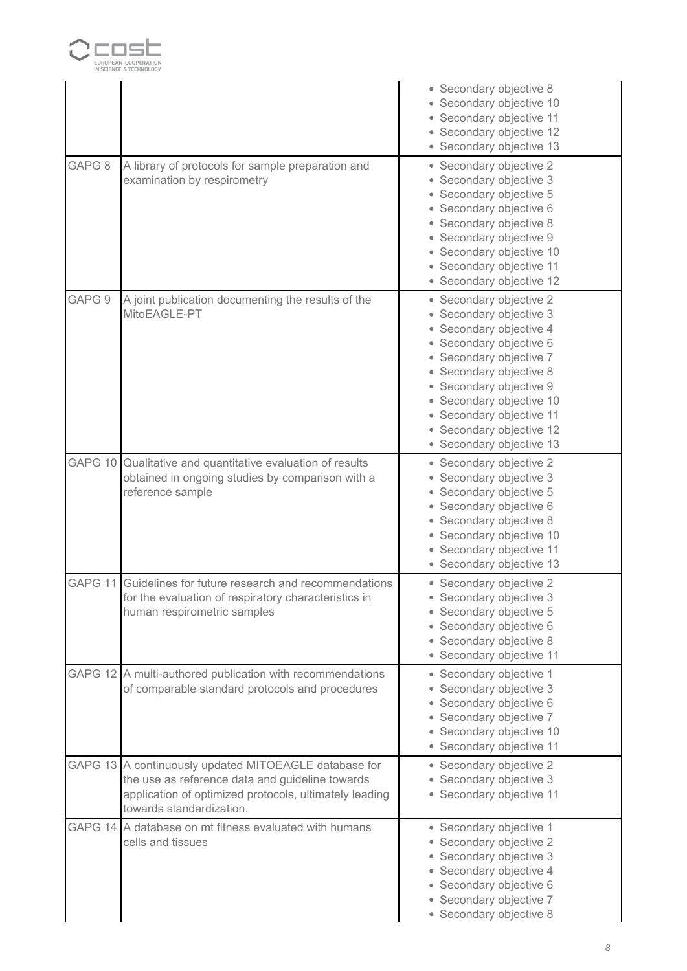

|         |                                                                                                                                                                                                | • Secondary objective 8<br>• Secondary objective 10<br>• Secondary objective 11<br>• Secondary objective 12<br>• Secondary objective 13                                                                                                                                                                   |
|---------|------------------------------------------------------------------------------------------------------------------------------------------------------------------------------------------------|-----------------------------------------------------------------------------------------------------------------------------------------------------------------------------------------------------------------------------------------------------------------------------------------------------------|
| GAPG 8  | A library of protocols for sample preparation and<br>examination by respirometry                                                                                                               | • Secondary objective 2<br>• Secondary objective 3<br>• Secondary objective 5<br>• Secondary objective 6<br>• Secondary objective 8<br>• Secondary objective 9<br>· Secondary objective 10<br>• Secondary objective 11<br>• Secondary objective 12                                                        |
| GAPG 9  | A joint publication documenting the results of the<br>MitoEAGLE-PT                                                                                                                             | • Secondary objective 2<br>• Secondary objective 3<br>• Secondary objective 4<br>• Secondary objective 6<br>• Secondary objective 7<br>• Secondary objective 8<br>• Secondary objective 9<br>• Secondary objective 10<br>• Secondary objective 11<br>• Secondary objective 12<br>• Secondary objective 13 |
| GAPG 10 | Qualitative and quantitative evaluation of results<br>obtained in ongoing studies by comparison with a<br>reference sample                                                                     | • Secondary objective 2<br>• Secondary objective 3<br>• Secondary objective 5<br>· Secondary objective 6<br>• Secondary objective 8<br>• Secondary objective 10<br>• Secondary objective 11<br>• Secondary objective 13                                                                                   |
| GAPG 11 | Guidelines for future research and recommendations<br>for the evaluation of respiratory characteristics in<br>human respirometric samples                                                      | • Secondary objective 2<br>• Secondary objective 3<br>• Secondary objective 5<br>• Secondary objective 6<br>• Secondary objective 8<br>• Secondary objective 11                                                                                                                                           |
|         | GAPG 12 A multi-authored publication with recommendations<br>of comparable standard protocols and procedures                                                                                   | • Secondary objective 1<br>• Secondary objective 3<br>• Secondary objective 6<br>• Secondary objective 7<br>• Secondary objective 10<br>• Secondary objective 11                                                                                                                                          |
|         | GAPG 13 A continuously updated MITOEAGLE database for<br>the use as reference data and guideline towards<br>application of optimized protocols, ultimately leading<br>towards standardization. | • Secondary objective 2<br>• Secondary objective 3<br>• Secondary objective 11                                                                                                                                                                                                                            |
| GAPG 14 | A database on mt fitness evaluated with humans<br>cells and tissues                                                                                                                            | • Secondary objective 1<br>• Secondary objective 2<br>• Secondary objective 3<br>• Secondary objective 4<br>· Secondary objective 6<br>• Secondary objective 7<br>• Secondary objective 8                                                                                                                 |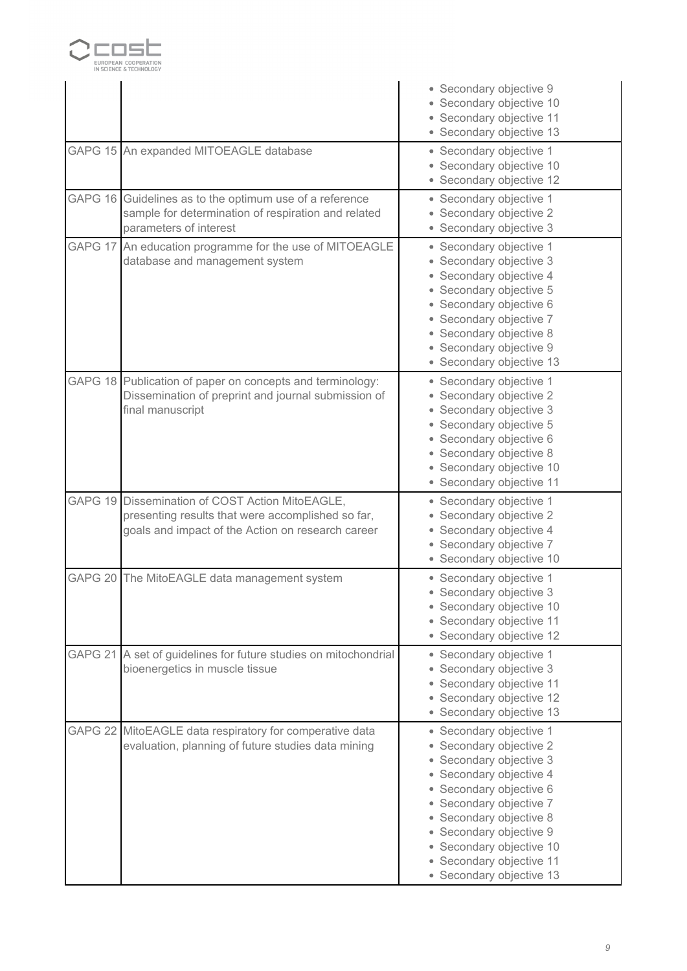

|                    |                                                                                                                                                           | • Secondary objective 9<br>• Secondary objective 10<br>· Secondary objective 11<br>• Secondary objective 13                                                                                                                                                                                              |
|--------------------|-----------------------------------------------------------------------------------------------------------------------------------------------------------|----------------------------------------------------------------------------------------------------------------------------------------------------------------------------------------------------------------------------------------------------------------------------------------------------------|
|                    | GAPG 15 An expanded MITOEAGLE database                                                                                                                    | • Secondary objective 1<br>• Secondary objective 10<br>• Secondary objective 12                                                                                                                                                                                                                          |
| GAPG 16            | Guidelines as to the optimum use of a reference<br>sample for determination of respiration and related<br>parameters of interest                          | • Secondary objective 1<br>• Secondary objective 2<br>• Secondary objective 3                                                                                                                                                                                                                            |
| GAPG 17            | An education programme for the use of MITOEAGLE<br>database and management system                                                                         | • Secondary objective 1<br>• Secondary objective 3<br>· Secondary objective 4<br>• Secondary objective 5<br>· Secondary objective 6<br>• Secondary objective 7<br>• Secondary objective 8<br>• Secondary objective 9<br>• Secondary objective 13                                                         |
|                    | GAPG 18 Publication of paper on concepts and terminology:<br>Dissemination of preprint and journal submission of<br>final manuscript                      | · Secondary objective 1<br>• Secondary objective 2<br>• Secondary objective 3<br>• Secondary objective 5<br>· Secondary objective 6<br>· Secondary objective 8<br>• Secondary objective 10<br>• Secondary objective 11                                                                                   |
|                    | GAPG 19 Dissemination of COST Action MitoEAGLE,<br>presenting results that were accomplished so far,<br>goals and impact of the Action on research career | • Secondary objective 1<br>• Secondary objective 2<br>• Secondary objective 4<br>• Secondary objective 7<br>• Secondary objective 10                                                                                                                                                                     |
| GAPG <sub>20</sub> | The MitoEAGLE data management system                                                                                                                      | • Secondary objective 1<br>• Secondary objective 3<br>• Secondary objective 10<br>• Secondary objective 11<br>• Secondary objective 12                                                                                                                                                                   |
| GAPG 21            | A set of guidelines for future studies on mitochondrial<br>bioenergetics in muscle tissue                                                                 | • Secondary objective 1<br>Secondary objective 3<br>$\bullet$<br>• Secondary objective 11<br>• Secondary objective 12<br>• Secondary objective 13                                                                                                                                                        |
| GAPG <sub>22</sub> | MitoEAGLE data respiratory for comperative data<br>evaluation, planning of future studies data mining                                                     | • Secondary objective 1<br>• Secondary objective 2<br>• Secondary objective 3<br>• Secondary objective 4<br>• Secondary objective 6<br>• Secondary objective 7<br>• Secondary objective 8<br>• Secondary objective 9<br>• Secondary objective 10<br>• Secondary objective 11<br>• Secondary objective 13 |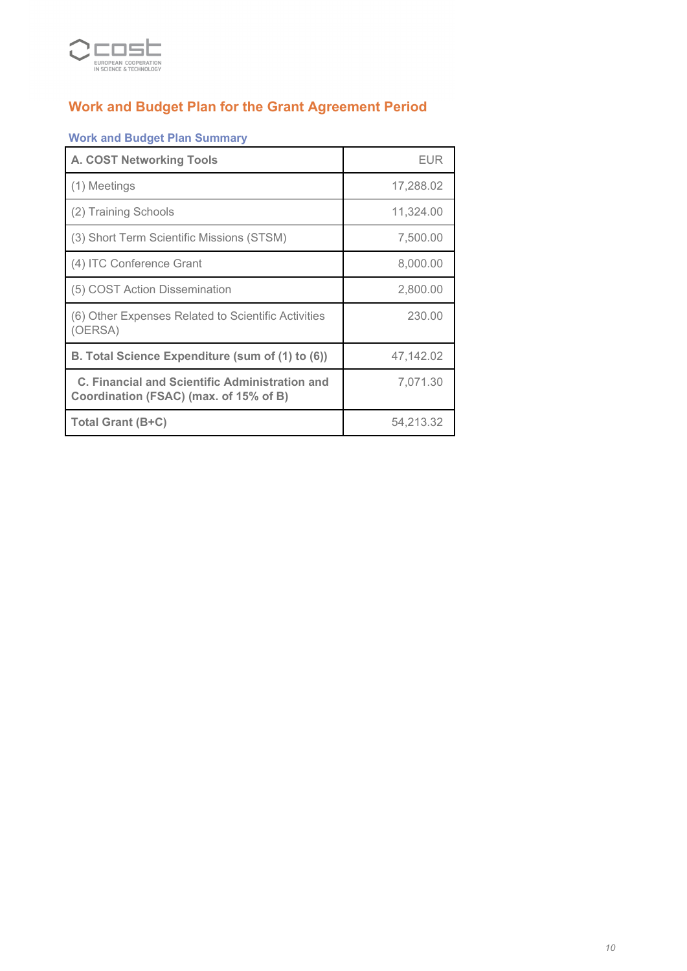

## *Work and Budget Plan for the Grant Agreement Period*

 $\overline{a}$ 

### *Work and Budget Plan Summary*

| <b>A. COST Networking Tools</b>                                                          | <b>EUR</b> |
|------------------------------------------------------------------------------------------|------------|
| (1) Meetings                                                                             | 17,288.02  |
| (2) Training Schools                                                                     | 11,324.00  |
| (3) Short Term Scientific Missions (STSM)                                                | 7,500.00   |
| (4) ITC Conference Grant                                                                 | 8,000.00   |
| (5) COST Action Dissemination                                                            | 2,800.00   |
| (6) Other Expenses Related to Scientific Activities<br>(OERSA)                           | 230.00     |
| B. Total Science Expenditure (sum of (1) to (6))                                         | 47,142.02  |
| C. Financial and Scientific Administration and<br>Coordination (FSAC) (max. of 15% of B) | 7,071.30   |
| Total Grant (B+C)                                                                        | 54,213.32  |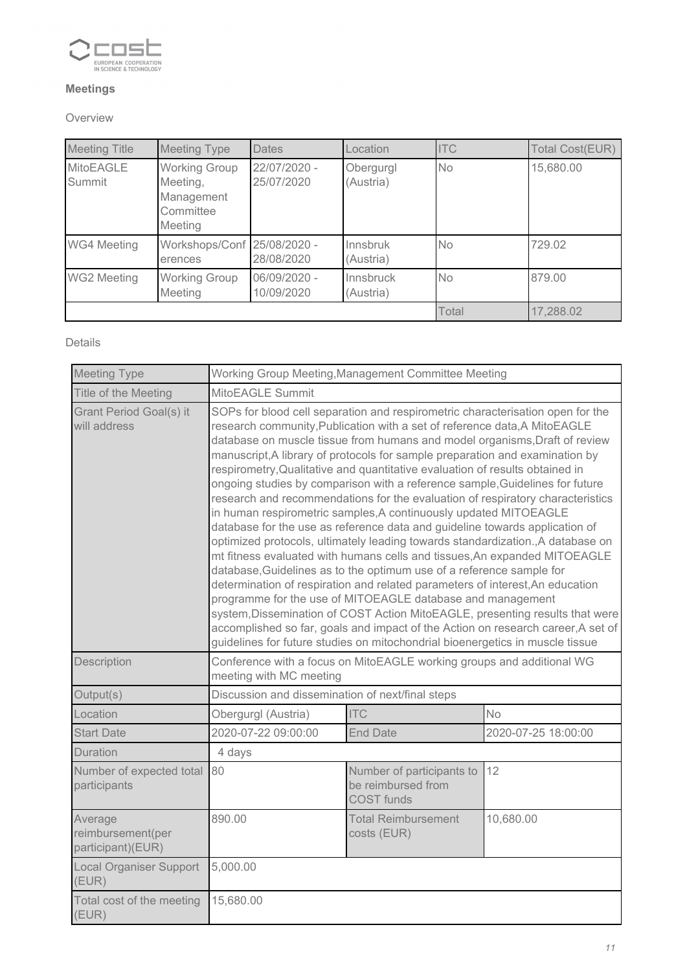

### *Meetings*

### *Overview*

| <b>Meeting Title</b>       | <b>Meeting Type</b>                                                    | <b>Dates</b>               | _ocation               | <b>ITC</b> | <b>Total Cost(EUR)</b> |
|----------------------------|------------------------------------------------------------------------|----------------------------|------------------------|------------|------------------------|
| <b>MitoEAGLE</b><br>Summit | <b>Working Group</b><br>Meeting,<br>Management<br>Committee<br>Meeting | 22/07/2020 -<br>25/07/2020 | Obergurgl<br>(Austria) | <b>No</b>  | 15,680.00              |
| <b>WG4 Meeting</b>         | Workshops/Conf 25/08/2020 -<br>erences                                 | 28/08/2020                 | Innsbruk<br>(Austria)  | <b>No</b>  | 729.02                 |
| <b>WG2 Meeting</b>         | <b>Working Group</b><br>Meeting                                        | 06/09/2020 -<br>10/09/2020 | Innsbruck<br>(Austria) | <b>No</b>  | 879.00                 |
|                            |                                                                        |                            |                        | Total      | 17,288.02              |

### *Details*

| <b>Meeting Type</b>                               | Working Group Meeting, Management Committee Meeting                                                                                                                                                                                                                                                                                                                                                                                                                                                                                                                                                                                                                                                                                                                                                                                                                                                                                                                                                                                                                                                                                                                                                                                                                                                                                                                        |                                                                       |                     |  |  |  |
|---------------------------------------------------|----------------------------------------------------------------------------------------------------------------------------------------------------------------------------------------------------------------------------------------------------------------------------------------------------------------------------------------------------------------------------------------------------------------------------------------------------------------------------------------------------------------------------------------------------------------------------------------------------------------------------------------------------------------------------------------------------------------------------------------------------------------------------------------------------------------------------------------------------------------------------------------------------------------------------------------------------------------------------------------------------------------------------------------------------------------------------------------------------------------------------------------------------------------------------------------------------------------------------------------------------------------------------------------------------------------------------------------------------------------------------|-----------------------------------------------------------------------|---------------------|--|--|--|
| Title of the Meeting                              | MitoEAGLE Summit                                                                                                                                                                                                                                                                                                                                                                                                                                                                                                                                                                                                                                                                                                                                                                                                                                                                                                                                                                                                                                                                                                                                                                                                                                                                                                                                                           |                                                                       |                     |  |  |  |
| Grant Period Goal(s) it<br>will address           | SOPs for blood cell separation and respirometric characterisation open for the<br>research community, Publication with a set of reference data, A MitoEAGLE<br>database on muscle tissue from humans and model organisms, Draft of review<br>manuscript, A library of protocols for sample preparation and examination by<br>respirometry, Qualitative and quantitative evaluation of results obtained in<br>ongoing studies by comparison with a reference sample, Guidelines for future<br>research and recommendations for the evaluation of respiratory characteristics<br>in human respirometric samples, A continuously updated MITOEAGLE<br>database for the use as reference data and guideline towards application of<br>optimized protocols, ultimately leading towards standardization., A database on<br>mt fitness evaluated with humans cells and tissues, An expanded MITOEAGLE<br>database, Guidelines as to the optimum use of a reference sample for<br>determination of respiration and related parameters of interest, An education<br>programme for the use of MITOEAGLE database and management<br>system, Dissemination of COST Action MitoEAGLE, presenting results that were<br>accomplished so far, goals and impact of the Action on research career, A set of<br>guidelines for future studies on mitochondrial bioenergetics in muscle tissue |                                                                       |                     |  |  |  |
| Description                                       | meeting with MC meeting                                                                                                                                                                                                                                                                                                                                                                                                                                                                                                                                                                                                                                                                                                                                                                                                                                                                                                                                                                                                                                                                                                                                                                                                                                                                                                                                                    | Conference with a focus on MitoEAGLE working groups and additional WG |                     |  |  |  |
| Output(s)                                         | Discussion and dissemination of next/final steps                                                                                                                                                                                                                                                                                                                                                                                                                                                                                                                                                                                                                                                                                                                                                                                                                                                                                                                                                                                                                                                                                                                                                                                                                                                                                                                           |                                                                       |                     |  |  |  |
| Location                                          | Obergurgl (Austria)                                                                                                                                                                                                                                                                                                                                                                                                                                                                                                                                                                                                                                                                                                                                                                                                                                                                                                                                                                                                                                                                                                                                                                                                                                                                                                                                                        | <b>ITC</b>                                                            | <b>No</b>           |  |  |  |
| <b>Start Date</b>                                 | 2020-07-22 09:00:00                                                                                                                                                                                                                                                                                                                                                                                                                                                                                                                                                                                                                                                                                                                                                                                                                                                                                                                                                                                                                                                                                                                                                                                                                                                                                                                                                        | <b>End Date</b>                                                       | 2020-07-25 18:00:00 |  |  |  |
| Duration                                          | 4 days                                                                                                                                                                                                                                                                                                                                                                                                                                                                                                                                                                                                                                                                                                                                                                                                                                                                                                                                                                                                                                                                                                                                                                                                                                                                                                                                                                     |                                                                       |                     |  |  |  |
| Number of expected total<br>participants          | 12<br>80<br>Number of participants to<br>be reimbursed from<br><b>COST</b> funds                                                                                                                                                                                                                                                                                                                                                                                                                                                                                                                                                                                                                                                                                                                                                                                                                                                                                                                                                                                                                                                                                                                                                                                                                                                                                           |                                                                       |                     |  |  |  |
| Average<br>reimbursement(per<br>participant)(EUR) | 890.00<br>10,680.00<br><b>Total Reimbursement</b><br>costs (EUR)                                                                                                                                                                                                                                                                                                                                                                                                                                                                                                                                                                                                                                                                                                                                                                                                                                                                                                                                                                                                                                                                                                                                                                                                                                                                                                           |                                                                       |                     |  |  |  |
| <b>Local Organiser Support</b><br>(EUR)           | 5,000.00                                                                                                                                                                                                                                                                                                                                                                                                                                                                                                                                                                                                                                                                                                                                                                                                                                                                                                                                                                                                                                                                                                                                                                                                                                                                                                                                                                   |                                                                       |                     |  |  |  |
| Total cost of the meeting<br>(EUR)                | 15,680.00                                                                                                                                                                                                                                                                                                                                                                                                                                                                                                                                                                                                                                                                                                                                                                                                                                                                                                                                                                                                                                                                                                                                                                                                                                                                                                                                                                  |                                                                       |                     |  |  |  |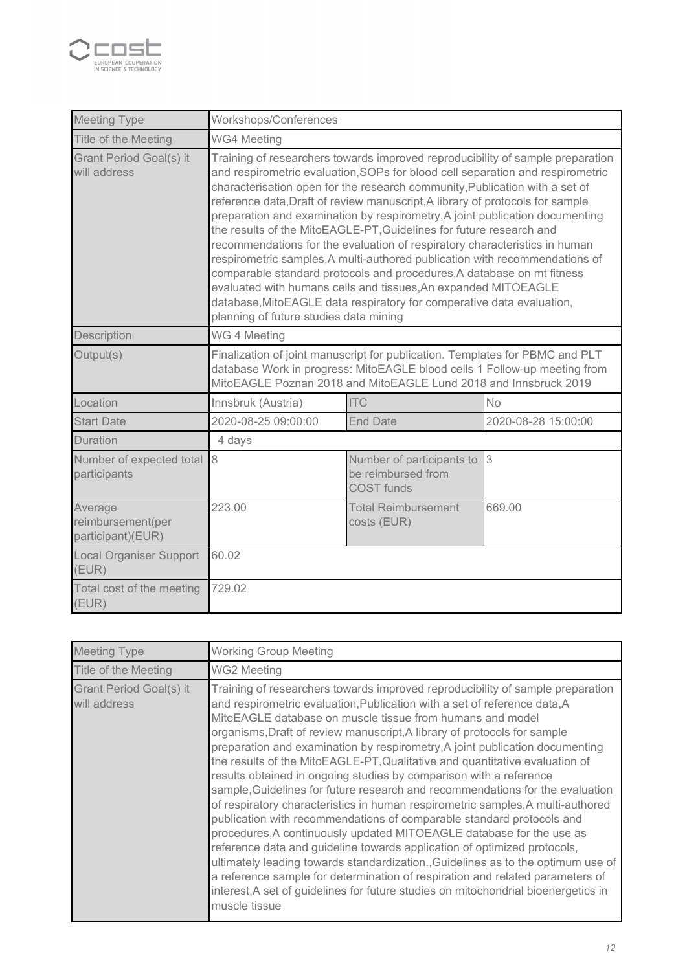

| <b>Meeting Type</b>                               | Workshops/Conferences                                                                                                                                                                                                                                                                                                                                                                                                                                                                                                                                                                                                                                                                                                                                                                                                                                                                                               |                                                                      |                     |  |  |
|---------------------------------------------------|---------------------------------------------------------------------------------------------------------------------------------------------------------------------------------------------------------------------------------------------------------------------------------------------------------------------------------------------------------------------------------------------------------------------------------------------------------------------------------------------------------------------------------------------------------------------------------------------------------------------------------------------------------------------------------------------------------------------------------------------------------------------------------------------------------------------------------------------------------------------------------------------------------------------|----------------------------------------------------------------------|---------------------|--|--|
| Title of the Meeting                              | <b>WG4 Meeting</b>                                                                                                                                                                                                                                                                                                                                                                                                                                                                                                                                                                                                                                                                                                                                                                                                                                                                                                  |                                                                      |                     |  |  |
| Grant Period Goal(s) it<br>will address           | Training of researchers towards improved reproducibility of sample preparation<br>and respirometric evaluation, SOPs for blood cell separation and respirometric<br>characterisation open for the research community, Publication with a set of<br>reference data, Draft of review manuscript, A library of protocols for sample<br>preparation and examination by respirometry, A joint publication documenting<br>the results of the MitoEAGLE-PT, Guidelines for future research and<br>recommendations for the evaluation of respiratory characteristics in human<br>respirometric samples, A multi-authored publication with recommendations of<br>comparable standard protocols and procedures, A database on mt fitness<br>evaluated with humans cells and tissues, An expanded MITOEAGLE<br>database, MitoEAGLE data respiratory for comperative data evaluation,<br>planning of future studies data mining |                                                                      |                     |  |  |
| Description                                       | WG 4 Meeting                                                                                                                                                                                                                                                                                                                                                                                                                                                                                                                                                                                                                                                                                                                                                                                                                                                                                                        |                                                                      |                     |  |  |
| Output(s)                                         | Finalization of joint manuscript for publication. Templates for PBMC and PLT<br>database Work in progress: MitoEAGLE blood cells 1 Follow-up meeting from<br>MitoEAGLE Poznan 2018 and MitoEAGLE Lund 2018 and Innsbruck 2019                                                                                                                                                                                                                                                                                                                                                                                                                                                                                                                                                                                                                                                                                       |                                                                      |                     |  |  |
| Location                                          | Innsbruk (Austria)                                                                                                                                                                                                                                                                                                                                                                                                                                                                                                                                                                                                                                                                                                                                                                                                                                                                                                  | <b>ITC</b>                                                           | <b>No</b>           |  |  |
| <b>Start Date</b>                                 | 2020-08-25 09:00:00                                                                                                                                                                                                                                                                                                                                                                                                                                                                                                                                                                                                                                                                                                                                                                                                                                                                                                 | <b>End Date</b>                                                      | 2020-08-28 15:00:00 |  |  |
| Duration                                          | 4 days                                                                                                                                                                                                                                                                                                                                                                                                                                                                                                                                                                                                                                                                                                                                                                                                                                                                                                              |                                                                      |                     |  |  |
| Number of expected total<br>participants          | 8                                                                                                                                                                                                                                                                                                                                                                                                                                                                                                                                                                                                                                                                                                                                                                                                                                                                                                                   | Number of participants to<br>be reimbursed from<br><b>COST</b> funds | 3                   |  |  |
| Average<br>reimbursement(per<br>participant)(EUR) | 223.00<br>669.00<br><b>Total Reimbursement</b><br>costs (EUR)                                                                                                                                                                                                                                                                                                                                                                                                                                                                                                                                                                                                                                                                                                                                                                                                                                                       |                                                                      |                     |  |  |
| <b>Local Organiser Support</b><br>(EUR)           | 60.02                                                                                                                                                                                                                                                                                                                                                                                                                                                                                                                                                                                                                                                                                                                                                                                                                                                                                                               |                                                                      |                     |  |  |
| Total cost of the meeting<br>(EUR)                | 729.02                                                                                                                                                                                                                                                                                                                                                                                                                                                                                                                                                                                                                                                                                                                                                                                                                                                                                                              |                                                                      |                     |  |  |

| <b>Meeting Type</b>                     | <b>Working Group Meeting</b>                                                                                                                                                                                                                                                                                                                                                                                                                                                                                                                                                                                                                                                                                                                                                                                                                                                                                                                                                                                                                                                                                                                                                                                           |
|-----------------------------------------|------------------------------------------------------------------------------------------------------------------------------------------------------------------------------------------------------------------------------------------------------------------------------------------------------------------------------------------------------------------------------------------------------------------------------------------------------------------------------------------------------------------------------------------------------------------------------------------------------------------------------------------------------------------------------------------------------------------------------------------------------------------------------------------------------------------------------------------------------------------------------------------------------------------------------------------------------------------------------------------------------------------------------------------------------------------------------------------------------------------------------------------------------------------------------------------------------------------------|
| Title of the Meeting                    | WG2 Meeting                                                                                                                                                                                                                                                                                                                                                                                                                                                                                                                                                                                                                                                                                                                                                                                                                                                                                                                                                                                                                                                                                                                                                                                                            |
| Grant Period Goal(s) it<br>will address | Training of researchers towards improved reproducibility of sample preparation<br>and respirometric evaluation, Publication with a set of reference data, A<br>MitoEAGLE database on muscle tissue from humans and model<br>organisms, Draft of review manuscript, A library of protocols for sample<br>preparation and examination by respirometry, A joint publication documenting<br>the results of the MitoEAGLE-PT, Qualitative and quantitative evaluation of<br>results obtained in ongoing studies by comparison with a reference<br>sample, Guidelines for future research and recommendations for the evaluation<br>of respiratory characteristics in human respirometric samples, A multi-authored<br>publication with recommendations of comparable standard protocols and<br>procedures, A continuously updated MITOEAGLE database for the use as<br>reference data and guideline towards application of optimized protocols,<br>ultimately leading towards standardization., Guidelines as to the optimum use of<br>a reference sample for determination of respiration and related parameters of<br>interest, A set of guidelines for future studies on mitochondrial bioenergetics in<br>muscle tissue |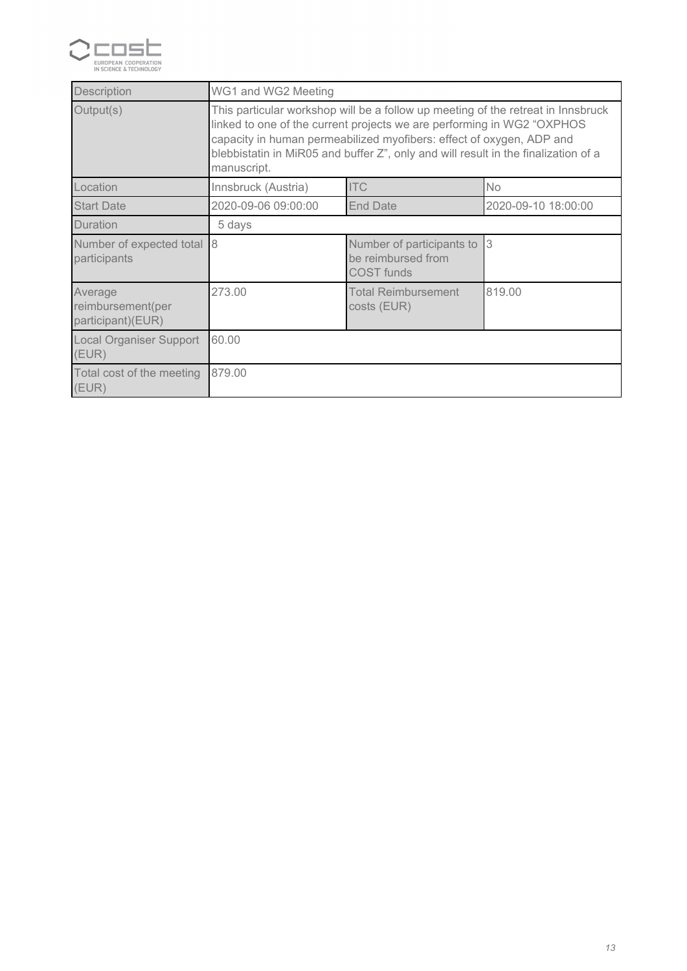

| Description                                       | WG1 and WG2 Meeting                                                                                                                                                                                                                                                                                                                     |                                                                      |           |  |  |  |
|---------------------------------------------------|-----------------------------------------------------------------------------------------------------------------------------------------------------------------------------------------------------------------------------------------------------------------------------------------------------------------------------------------|----------------------------------------------------------------------|-----------|--|--|--|
| Output(s)                                         | This particular workshop will be a follow up meeting of the retreat in Innsbruck<br>linked to one of the current projects we are performing in WG2 "OXPHOS<br>capacity in human permeabilized myofibers: effect of oxygen, ADP and<br>blebbistatin in MiR05 and buffer Z", only and will result in the finalization of a<br>manuscript. |                                                                      |           |  |  |  |
| Location                                          | Innsbruck (Austria)                                                                                                                                                                                                                                                                                                                     | <b>ITC</b>                                                           | <b>No</b> |  |  |  |
| <b>Start Date</b>                                 | 2020-09-06 09:00:00<br><b>End Date</b><br>2020-09-10 18:00:00                                                                                                                                                                                                                                                                           |                                                                      |           |  |  |  |
| Duration                                          | 5 days                                                                                                                                                                                                                                                                                                                                  |                                                                      |           |  |  |  |
| Number of expected total<br>participants          | $\overline{8}$                                                                                                                                                                                                                                                                                                                          | Number of participants to<br>be reimbursed from<br><b>COST</b> funds | l3        |  |  |  |
| Average<br>reimbursement(per<br>participant)(EUR) | 819.00<br>273.00<br><b>Total Reimbursement</b><br>costs (EUR)                                                                                                                                                                                                                                                                           |                                                                      |           |  |  |  |
| Local Organiser Support<br>(EUR)                  | 60.00                                                                                                                                                                                                                                                                                                                                   |                                                                      |           |  |  |  |
| Total cost of the meeting<br>(EUR)                | 879.00                                                                                                                                                                                                                                                                                                                                  |                                                                      |           |  |  |  |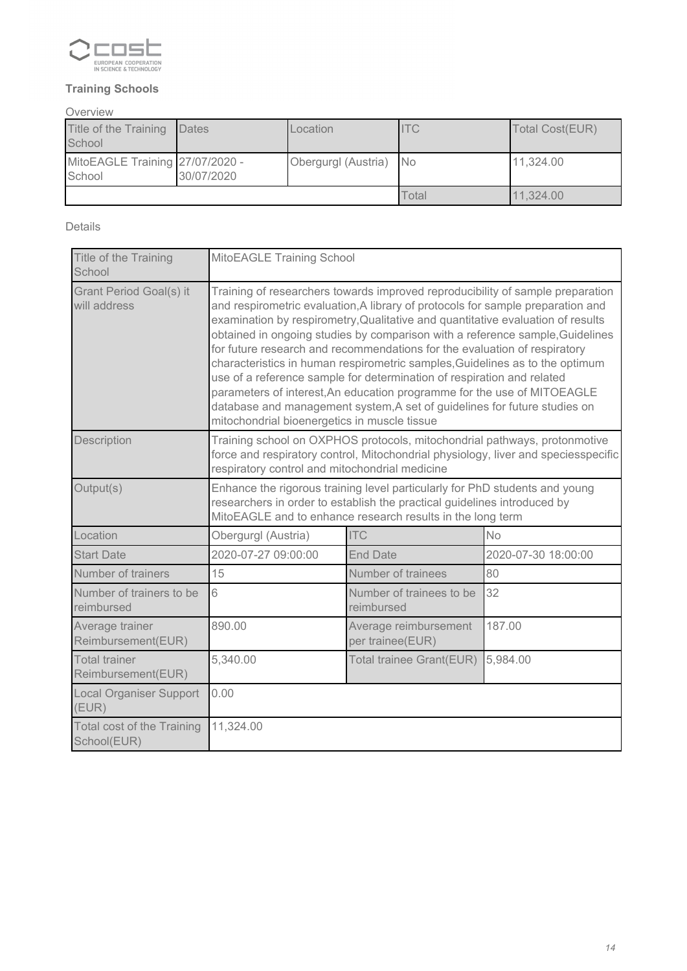

### *Training Schools*

*Overview*

| Title of the Training<br>School           | Dates      | Location            | <b>ITC</b> | Total Cost(EUR) |
|-------------------------------------------|------------|---------------------|------------|-----------------|
| MitoEAGLE Training 27/07/2020 -<br>School | 30/07/2020 | Obergurgl (Austria) | - INo      | 11,324.00       |
|                                           |            |                     | Total      | 11.324.00       |

### *Details*

| Title of the Training<br>School                  | MitoEAGLE Training School                                                                                                                                                                                                                                                                                                                                                                                                                                                                                                                                                                                                                                                                                                                                                            |                                           |                     |  |  |
|--------------------------------------------------|--------------------------------------------------------------------------------------------------------------------------------------------------------------------------------------------------------------------------------------------------------------------------------------------------------------------------------------------------------------------------------------------------------------------------------------------------------------------------------------------------------------------------------------------------------------------------------------------------------------------------------------------------------------------------------------------------------------------------------------------------------------------------------------|-------------------------------------------|---------------------|--|--|
| Grant Period Goal(s) it<br>will address          | Training of researchers towards improved reproducibility of sample preparation<br>and respirometric evaluation, A library of protocols for sample preparation and<br>examination by respirometry, Qualitative and quantitative evaluation of results<br>obtained in ongoing studies by comparison with a reference sample, Guidelines<br>for future research and recommendations for the evaluation of respiratory<br>characteristics in human respirometric samples, Guidelines as to the optimum<br>use of a reference sample for determination of respiration and related<br>parameters of interest, An education programme for the use of MITOEAGLE<br>database and management system, A set of guidelines for future studies on<br>mitochondrial bioenergetics in muscle tissue |                                           |                     |  |  |
| Description                                      | Training school on OXPHOS protocols, mitochondrial pathways, protonmotive<br>force and respiratory control, Mitochondrial physiology, liver and speciesspecific<br>respiratory control and mitochondrial medicine                                                                                                                                                                                                                                                                                                                                                                                                                                                                                                                                                                    |                                           |                     |  |  |
| Output(s)                                        | Enhance the rigorous training level particularly for PhD students and young<br>researchers in order to establish the practical guidelines introduced by<br>MitoEAGLE and to enhance research results in the long term                                                                                                                                                                                                                                                                                                                                                                                                                                                                                                                                                                |                                           |                     |  |  |
| Location                                         | Obergurgl (Austria)                                                                                                                                                                                                                                                                                                                                                                                                                                                                                                                                                                                                                                                                                                                                                                  | <b>ITC</b>                                | <b>No</b>           |  |  |
| <b>Start Date</b>                                | 2020-07-27 09:00:00                                                                                                                                                                                                                                                                                                                                                                                                                                                                                                                                                                                                                                                                                                                                                                  | <b>End Date</b>                           | 2020-07-30 18:00:00 |  |  |
| Number of trainers                               | 15                                                                                                                                                                                                                                                                                                                                                                                                                                                                                                                                                                                                                                                                                                                                                                                   | Number of trainees                        | 80                  |  |  |
| Number of trainers to be<br>reimbursed           | 6                                                                                                                                                                                                                                                                                                                                                                                                                                                                                                                                                                                                                                                                                                                                                                                    | Number of trainees to be<br>reimbursed    | 32                  |  |  |
| Average trainer<br>Reimbursement(EUR)            | 890.00                                                                                                                                                                                                                                                                                                                                                                                                                                                                                                                                                                                                                                                                                                                                                                               | Average reimbursement<br>per trainee(EUR) | 187.00              |  |  |
| <b>Total trainer</b><br>Reimbursement(EUR)       | 5,340.00<br>Total trainee Grant(EUR)<br>5,984.00                                                                                                                                                                                                                                                                                                                                                                                                                                                                                                                                                                                                                                                                                                                                     |                                           |                     |  |  |
| <b>Local Organiser Support</b><br>(EUR)          | 0.00                                                                                                                                                                                                                                                                                                                                                                                                                                                                                                                                                                                                                                                                                                                                                                                 |                                           |                     |  |  |
| <b>Total cost of the Training</b><br>School(EUR) | 11,324.00                                                                                                                                                                                                                                                                                                                                                                                                                                                                                                                                                                                                                                                                                                                                                                            |                                           |                     |  |  |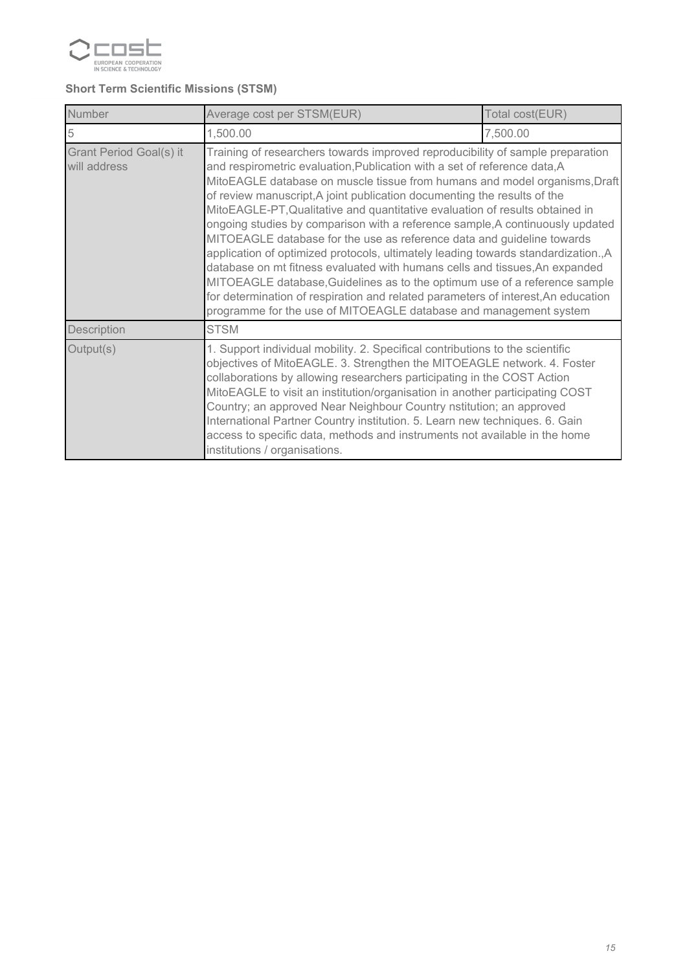

### *Short Term Scientific Missions (STSM)*

| Number                                  | Average cost per STSM(EUR)<br>Total cost(EUR)                                                                                                                                                                                                                                                                                                                                                                                                                                                                                                                                            |                                                                                                                                                                                                                                                                                                                                                                                                                                                                                                                                                                                                                                                                                                                                                                                                                                                                                                          |  |  |  |  |
|-----------------------------------------|------------------------------------------------------------------------------------------------------------------------------------------------------------------------------------------------------------------------------------------------------------------------------------------------------------------------------------------------------------------------------------------------------------------------------------------------------------------------------------------------------------------------------------------------------------------------------------------|----------------------------------------------------------------------------------------------------------------------------------------------------------------------------------------------------------------------------------------------------------------------------------------------------------------------------------------------------------------------------------------------------------------------------------------------------------------------------------------------------------------------------------------------------------------------------------------------------------------------------------------------------------------------------------------------------------------------------------------------------------------------------------------------------------------------------------------------------------------------------------------------------------|--|--|--|--|
| 5                                       | 1,500.00<br>7,500.00                                                                                                                                                                                                                                                                                                                                                                                                                                                                                                                                                                     |                                                                                                                                                                                                                                                                                                                                                                                                                                                                                                                                                                                                                                                                                                                                                                                                                                                                                                          |  |  |  |  |
| Grant Period Goal(s) it<br>will address | programme for the use of MITOEAGLE database and management system                                                                                                                                                                                                                                                                                                                                                                                                                                                                                                                        | Training of researchers towards improved reproducibility of sample preparation<br>and respirometric evaluation, Publication with a set of reference data, A<br>MitoEAGLE database on muscle tissue from humans and model organisms, Draft<br>of review manuscript, A joint publication documenting the results of the<br>MitoEAGLE-PT, Qualitative and quantitative evaluation of results obtained in<br>ongoing studies by comparison with a reference sample, A continuously updated<br>MITOEAGLE database for the use as reference data and guideline towards<br>application of optimized protocols, ultimately leading towards standardization., A<br>database on mt fitness evaluated with humans cells and tissues, An expanded<br>MITOEAGLE database, Guidelines as to the optimum use of a reference sample<br>for determination of respiration and related parameters of interest, An education |  |  |  |  |
| Description                             | <b>STSM</b>                                                                                                                                                                                                                                                                                                                                                                                                                                                                                                                                                                              |                                                                                                                                                                                                                                                                                                                                                                                                                                                                                                                                                                                                                                                                                                                                                                                                                                                                                                          |  |  |  |  |
| Output(s)                               | 1. Support individual mobility. 2. Specifical contributions to the scientific<br>objectives of MitoEAGLE. 3. Strengthen the MITOEAGLE network. 4. Foster<br>collaborations by allowing researchers participating in the COST Action<br>MitoEAGLE to visit an institution/organisation in another participating COST<br>Country; an approved Near Neighbour Country nstitution; an approved<br>International Partner Country institution. 5. Learn new techniques. 6. Gain<br>access to specific data, methods and instruments not available in the home<br>institutions / organisations. |                                                                                                                                                                                                                                                                                                                                                                                                                                                                                                                                                                                                                                                                                                                                                                                                                                                                                                          |  |  |  |  |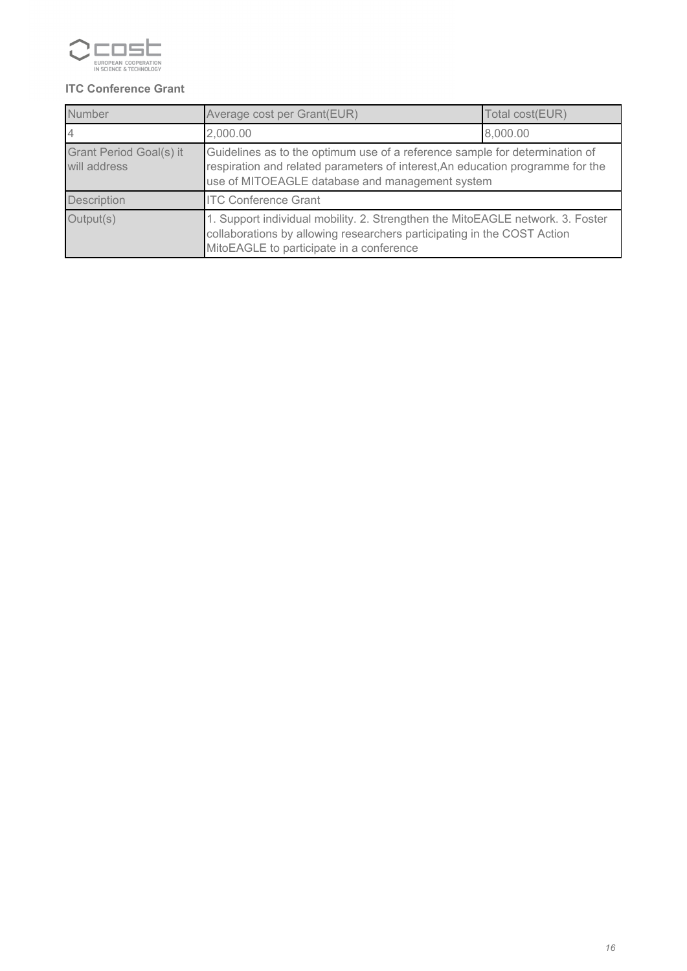

### *ITC Conference Grant*

| Number                                  | Average cost per Grant(EUR)<br>Total cost(EUR)                                                                                                                                                                   |          |  |  |  |
|-----------------------------------------|------------------------------------------------------------------------------------------------------------------------------------------------------------------------------------------------------------------|----------|--|--|--|
|                                         | 2,000.00                                                                                                                                                                                                         | 8,000.00 |  |  |  |
| Grant Period Goal(s) it<br>will address | Guidelines as to the optimum use of a reference sample for determination of<br>respiration and related parameters of interest, An education programme for the<br>use of MITOEAGLE database and management system |          |  |  |  |
| <b>Description</b>                      | <b>ITC Conference Grant</b>                                                                                                                                                                                      |          |  |  |  |
| Output(s)                               | 1. Support individual mobility. 2. Strengthen the MitoEAGLE network. 3. Foster<br>collaborations by allowing researchers participating in the COST Action<br>MitoEAGLE to participate in a conference            |          |  |  |  |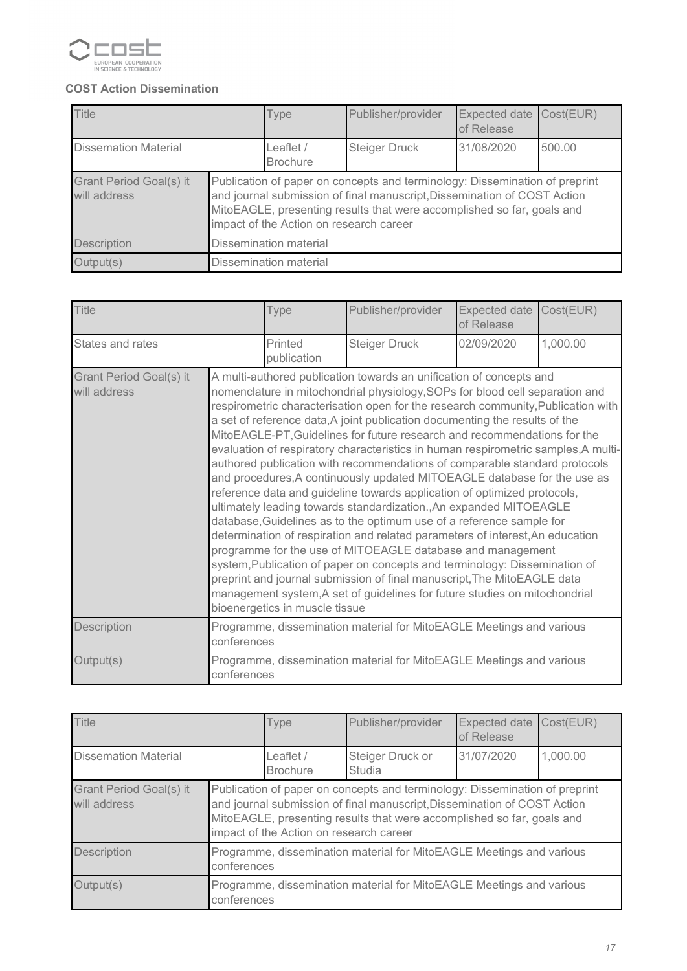

### *COST Action Dissemination*

| Title                                   |                                                                                                                                                                                                                                                                              | Type                           | Publisher/provider   | <b>Expected date</b><br>of Release | Cost(EUR) |
|-----------------------------------------|------------------------------------------------------------------------------------------------------------------------------------------------------------------------------------------------------------------------------------------------------------------------------|--------------------------------|----------------------|------------------------------------|-----------|
| <b>Dissemation Material</b>             |                                                                                                                                                                                                                                                                              | Leaflet $/$<br><b>Brochure</b> | <b>Steiger Druck</b> | 31/08/2020                         | 500.00    |
| Grant Period Goal(s) it<br>will address | Publication of paper on concepts and terminology: Dissemination of preprint<br>and journal submission of final manuscript, Dissemination of COST Action<br>MitoEAGLE, presenting results that were accomplished so far, goals and<br>impact of the Action on research career |                                |                      |                                    |           |
| <b>Description</b>                      | Dissemination material                                                                                                                                                                                                                                                       |                                |                      |                                    |           |
| Output(s)                               |                                                                                                                                                                                                                                                                              | <b>Dissemination material</b>  |                      |                                    |           |

| <b>Title</b>                            |                                                                                     | Type                           | Publisher/provider                                                                                                                                                                                                                                                                                                                                                                                                                                                                                                                                                                                                                                                                                                                                                                                                                                                                                                                                                                                                                                                                                                                                                                                                                                                 | <b>Expected date</b><br>of Release | Cost(EUR) |
|-----------------------------------------|-------------------------------------------------------------------------------------|--------------------------------|--------------------------------------------------------------------------------------------------------------------------------------------------------------------------------------------------------------------------------------------------------------------------------------------------------------------------------------------------------------------------------------------------------------------------------------------------------------------------------------------------------------------------------------------------------------------------------------------------------------------------------------------------------------------------------------------------------------------------------------------------------------------------------------------------------------------------------------------------------------------------------------------------------------------------------------------------------------------------------------------------------------------------------------------------------------------------------------------------------------------------------------------------------------------------------------------------------------------------------------------------------------------|------------------------------------|-----------|
| States and rates                        |                                                                                     | Printed<br>publication         | <b>Steiger Druck</b>                                                                                                                                                                                                                                                                                                                                                                                                                                                                                                                                                                                                                                                                                                                                                                                                                                                                                                                                                                                                                                                                                                                                                                                                                                               | 02/09/2020                         | 1,000.00  |
| Grant Period Goal(s) it<br>will address |                                                                                     | bioenergetics in muscle tissue | A multi-authored publication towards an unification of concepts and<br>nomenclature in mitochondrial physiology, SOPs for blood cell separation and<br>respirometric characterisation open for the research community, Publication with<br>a set of reference data, A joint publication documenting the results of the<br>MitoEAGLE-PT, Guidelines for future research and recommendations for the<br>evaluation of respiratory characteristics in human respirometric samples, A multi-<br>authored publication with recommendations of comparable standard protocols<br>and procedures, A continuously updated MITOEAGLE database for the use as<br>reference data and guideline towards application of optimized protocols,<br>ultimately leading towards standardization., An expanded MITOEAGLE<br>database, Guidelines as to the optimum use of a reference sample for<br>determination of respiration and related parameters of interest, An education<br>programme for the use of MITOEAGLE database and management<br>system, Publication of paper on concepts and terminology: Dissemination of<br>preprint and journal submission of final manuscript, The MitoEAGLE data<br>management system, A set of guidelines for future studies on mitochondrial |                                    |           |
| Description                             | Programme, dissemination material for MitoEAGLE Meetings and various<br>conferences |                                |                                                                                                                                                                                                                                                                                                                                                                                                                                                                                                                                                                                                                                                                                                                                                                                                                                                                                                                                                                                                                                                                                                                                                                                                                                                                    |                                    |           |
| Output(s)                               | conferences                                                                         |                                | Programme, dissemination material for MitoEAGLE Meetings and various                                                                                                                                                                                                                                                                                                                                                                                                                                                                                                                                                                                                                                                                                                                                                                                                                                                                                                                                                                                                                                                                                                                                                                                               |                                    |           |

| <b>Title</b>                            |                                                                                                                                                                                                                                                                              | Type                         | Publisher/provider                                                   | <b>Expected date</b><br>of Release | Cost(EUR) |
|-----------------------------------------|------------------------------------------------------------------------------------------------------------------------------------------------------------------------------------------------------------------------------------------------------------------------------|------------------------------|----------------------------------------------------------------------|------------------------------------|-----------|
| <b>Dissemation Material</b>             |                                                                                                                                                                                                                                                                              | Leaflet /<br><b>Brochure</b> | Steiger Druck or<br><b>Studia</b>                                    | 31/07/2020                         | 1,000.00  |
| Grant Period Goal(s) it<br>will address | Publication of paper on concepts and terminology: Dissemination of preprint<br>and journal submission of final manuscript, Dissemination of COST Action<br>MitoEAGLE, presenting results that were accomplished so far, goals and<br>impact of the Action on research career |                              |                                                                      |                                    |           |
| Description                             | Programme, dissemination material for MitoEAGLE Meetings and various<br>conferences                                                                                                                                                                                          |                              |                                                                      |                                    |           |
| Output(s)                               | conferences                                                                                                                                                                                                                                                                  |                              | Programme, dissemination material for MitoEAGLE Meetings and various |                                    |           |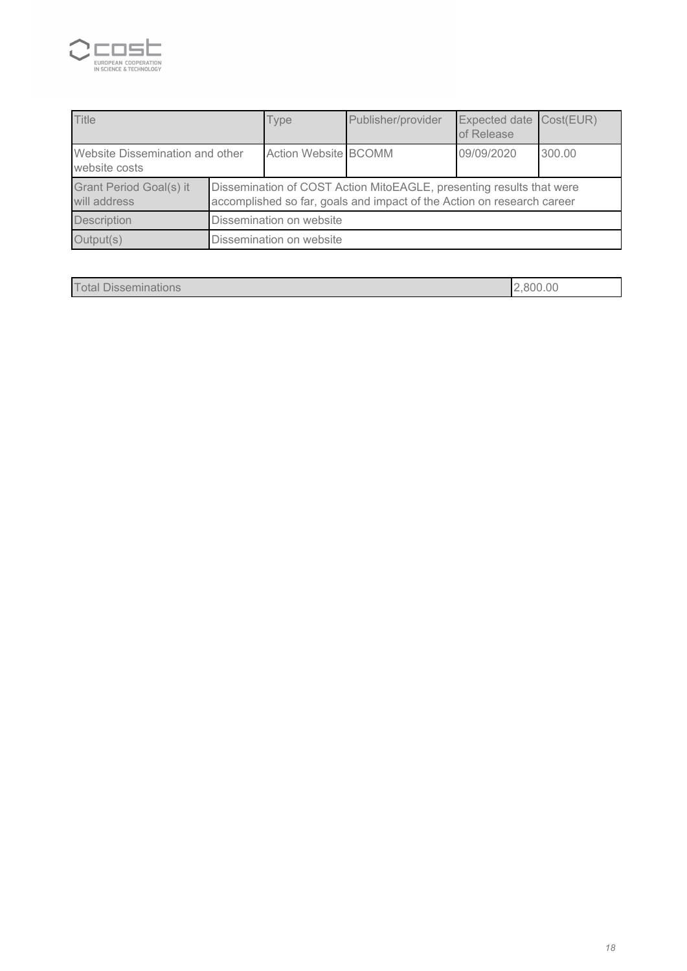

| <b>Title</b>                                     |                                                                                                                                                | Type                        | Publisher/provider | Expected date Cost(EUR)<br>of Release |        |
|--------------------------------------------------|------------------------------------------------------------------------------------------------------------------------------------------------|-----------------------------|--------------------|---------------------------------------|--------|
| Website Dissemination and other<br>website costs |                                                                                                                                                | <b>Action Website BCOMM</b> |                    | 09/09/2020                            | 300.00 |
| Grant Period Goal(s) it<br>will address          | Dissemination of COST Action MitoEAGLE, presenting results that were<br>accomplished so far, goals and impact of the Action on research career |                             |                    |                                       |        |
| <b>Description</b>                               | Dissemination on website                                                                                                                       |                             |                    |                                       |        |
| Output(s)                                        | Dissemination on website                                                                                                                       |                             |                    |                                       |        |

| $\top$<br><sup>-</sup> otal<br><b>Disseminations</b> | .00<br>.800 |
|------------------------------------------------------|-------------|